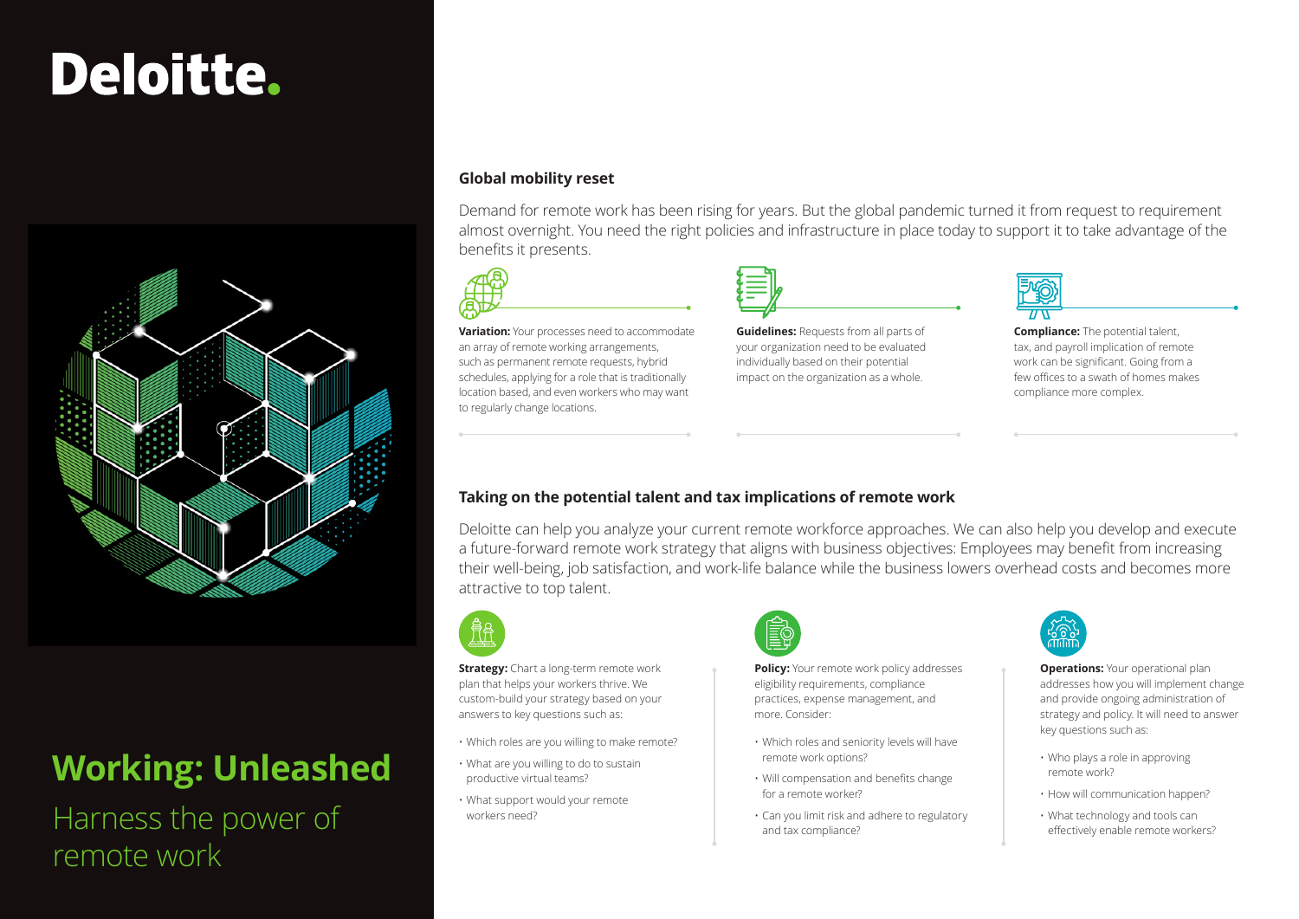# Deloitte.



## **Working: Unleashed**

Harness the power of remote work

### **Global mobility reset**

Demand for remote work has been rising for years. But the global pandemic turned it from request to requirement almost overnight. You need the right policies and infrastructure in place today to support it to take advantage of the benefits it presents.



### **Taking on the potential talent and tax implications of remote work**

Deloitte can help you analyze your current remote workforce approaches. We can also help you develop and execute a future-forward remote work strategy that aligns with business objectives: Employees may benefit from increasing their well-being, job satisfaction, and work-life balance while the business lowers overhead costs and becomes more attractive to top talent.



**Strategy:** Chart a long-term remote work plan that helps your workers thrive. We custom-build your strategy based on your answers to key questions such as:

- **Policy:** Your remote work policy addresses eligibility requirements, compliance practices, expense management, and more. Consider:
- Which roles and seniority levels will have remote work options?
- Will compensation and benefits change for a remote worker?
- Can you limit risk and adhere to regulatory and tax compliance?



**Variation:** Your processes need to accommodate an array of remote working arrangements, such as permanent remote requests, hybrid schedules, applying for a role that is traditionally location based, and even workers who may want to regularly change locations.

> **Operations:** Your operational plan addresses how you will implement change and provide ongoing administration of strategy and policy. It will need to answer key questions such as:

**Compliance:** The potential talent, tax, and payroll implication of remote work can be significant. Going from a few offices to a swath of homes makes compliance more complex.



- Which roles are you willing to make remote?
- What are you willing to do to sustain productive virtual teams?
- What support would your remote workers need?



- Who plays a role in approving remote work?
- How will communication happen?
- What technology and tools can effectively enable remote workers?



**Guidelines:** Requests from all parts of your organization need to be evaluated individually based on their potential impact on the organization as a whole.